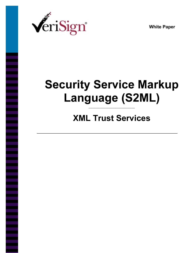



# **Security Service Markup Language (S2ML)** \_\_\_\_\_\_\_\_\_\_\_\_\_\_\_\_\_\_\_\_\_\_\_\_

# **XML Trust Services**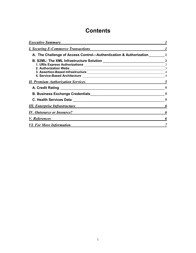### **Contents**

| <b>Executive Summary</b>                                                                                       |                                  |
|----------------------------------------------------------------------------------------------------------------|----------------------------------|
| <i>I. Securing E-Commerce Transactions</i>                                                                     |                                  |
| A. The Challenge of Access Control—Authentication & Authorization                                              |                                  |
|                                                                                                                |                                  |
|                                                                                                                |                                  |
| 3. Assertion-Based Infrastructure Manual Community of Assertion-Manual Community of Assertion-Manual Community | $\overline{4}$<br>$\overline{4}$ |
| <b>II. Premium Authorization Services</b>                                                                      | 5                                |
|                                                                                                                | 5                                |
|                                                                                                                | 5                                |
|                                                                                                                | 5                                |
| <b>III. Enterprise Infrastructure</b>                                                                          | 6                                |
| <b>IV. Outsource or Insource?</b>                                                                              | 6                                |
| <i>V. References</i>                                                                                           | 6                                |
| <b>VI. For More Information</b>                                                                                |                                  |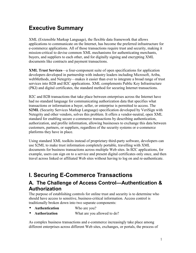### **Executive Summary**

XML (Extensible Markup Language), the flexible data framework that allows applications to communicate on the Internet, has become the preferred infrastructure for e-commerce applications. All of those transactions require trust and security, making it mission-critical to devise common XML mechanisms for authenticating merchants, buyers, and suppliers to each other, and for digitally signing and encrypting XML documents like contracts and payment transactions.

**XML Trust Services**—a four-component suite of open specifications for application developers developed in partnership with industry leaders including Microsoft, Ariba, webMethods, and Netegrity—makes it easier than ever to integrate a broad range of trust services into B2B and B2C applications. XML complements Public Key Infrastructure (PKI) and digital certificates, the standard method for securing Internet transactions.

B2C and B2B transactions that take place between enterprises across the Internet have had no standard language for communicating authorization data that specifies what transactions or information a buyer, seller, or enterprise is permitted to access. The **S2ML** (Security Services Markup Language) specification developed by VeriSign with Netegrity and other vendors, solves this problem. It offers a vendor-neutral, open XML standard for enabling secure e-commerce transactions by describing authentication, authorization, and profile information, allowing businesses to exchange this data between customers, partners, or suppliers, regardless of the security systems or e-commerce platforms they have in place.

Using standard XML toolkits instead of proprietary third-party software, developers can use S2ML to make trust information completely portable, travelling with XML documents for business transactions across multiple Web sites. In B2C applications, for example, users can sign on to a service and present digital certificates only once, and then travel across linked or affiliated Web sites without having to log on and re-authenticate.

## **I. Securing E-Commerce Transactions**

#### **A. The Challenge of Access Control—Authentication & Authorization**

The purpose of establishing controls for online trust and security is to determine who should have access to sensitive, business-critical information. Access control is traditionally broken down into two separate components:

- **Authentication** Who are you?
- **Authorization** What are you allowed to do?

As complex business transactions and e-commerce increasingly take place among different enterprises across different Web sites, exchanges, or portals, the process of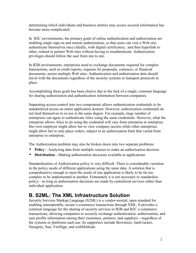determining which individuals and business entities may access secured information has become more complicated.

In B2C environments, the primary goals of online authentication and authorization are enabling single sign-on and remote authorization, so that users can visit a Web site, authenticate themselves once (ideally, with digital certificates), and then hyperlink to other, related or partner Web sites without having to reauthenticate. Authorization privileges should follow the user from site to site.

In B2B environments, enterprises need to exchange documents required for complex transactions, such as credit reports, requests for proposals, contracts, or financial documents, across multiple Web sites. Authentication and authorization data should travel with the documents regardless of the security systems or transport protocols in place.

Accomplishing these goals has been elusive due to the lack of a single, common language for sharing authorization and authentication information between companies.

Separating access-control into two components allows authentication credentials to be standardized across an entire application domain. However, authorization credentials do not lend themselves to re-use in the same degree. For example, large number of enterprises can agree to authenticate Alice using the same credentials. However, what the enterprise allows Alice to do using the credential will vary from enterprise to enterprise. Her own employer might allow her to view company secrets while other enterprises might allow her to only place orders, subject to an authorization limit that varied from enterprise to enterprise.

The Authorization problem may also be broken down into two separate problems:

- **Policy**—Analyzing data from multiple sources to make an authorization decision
- **Distribution**—Making authorization decisions available to applications

Standardization of Authorization policy is very difficult. There is considerable variation in the policy needs of different applications using the same data. A solution that is comprehensive enough to meet the needs of one application is likely to be far too complex to be implemented in another. Fortunately it is not necessary to standardize policy—as long as authorization decisions are made by centralized services rather than individual application.

### **B. S2ML: The XML Infrastructure Solution**

Security Services Markup Language (S2ML) is a vendor-neutral, open standard for enabling interoperable, secure e-commerce transactions through XML. It provides a common language for the sharing of security services in B2B and B2C e-commerce transactions, allowing companies to securely exchange authentication, authorization, and user profile information among their customers, partners, and suppliers—regardless of the systems or platforms each use. Its supporters include Bowstreet, JamCracker, Netegrity, Sun, VeriSign, and webMethods.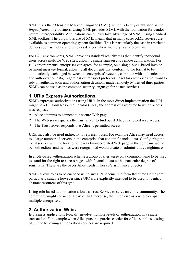S2ML uses the eXtensible Markup Language (XML), which is firmly established as the *lingua franca* of e-business. Using XML provides S2ML with the foundation for vendorneutral interoperability. Applications can quickly take advantage of S2ML using standard XML toolkits. The ubiquitous use of XML means that in many cases XML services are available as common operating system facilities. This is particularly the case in restricted devices such as mobile and wireless devices where memory is at a premium.

For B2C environments, S2ML provides standard security tags that identify individual users across multiple Web sites, allowing single sign-on and remote authorization. For B2B environments, enterprises can agree, for example, on a single XML-based invoice payment message format, allowing all documents that conform to the format to be automatically exchanged between the enterprises' systems, complete with authentication and authorization data, regardless of transport protocols. And for enterprises that want to rely on authentication and authorization decisions made remotely by trusted third parties, S2ML can be used as the common security language for hosted services.

#### **1. URIs Express Authorizations**

S2ML expresses authorizations using URIs. In the most direct implementation the URI might be a Uniform Resource Locator (URL) the address of a resource to which access was requested:

- Alice attempts to connect to a secure Web page.
- The Web server queries the trust server to find out if Alice is allowed read access.
- The Trust server responds that Alice is permitted access.

URIs may also be used indirectly to represent roles. For example Alice may need access to a large number of servers in the enterprise that contain financial data. Configuring the Trust service with the location of every finance-related Web page in the company would be both tedious and as sites were reorganized would create an administrative nightmare.

In a role-based authorization scheme a group of sites agree on a common name to be used to stand for the right to access pages with financial data with a particular degree of sensitivity. These are the pages Alice needs in her *role* as Finance director.

S2ML allows roles to be encoded using any URI scheme. Uniform Resource Names are particularly suitable however since URNs are explicitly intended to be used to identify abstract resources of this type.

Using role-based authorization allows a Trust Service to serve an entire community. The community might consist of a part of an Enterprise, the Enterprise as a whole or span multiple enterprises.

#### **2. Authorization Webs**

E-business applications typically involve multiple levels of authorization in a single transaction. For example when Alice puts in a purchase order for office supplies costing \$100, the following authorization services are required: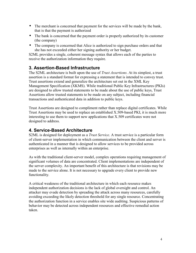- The merchant is concerned that payment for the services will be made by the bank, that is that the payment is authorized
- The bank is concerned that the payment order is properly authorized by its customer (the company)
- The company is concerned that Alice is authorized to sign purchase orders and that she has not exceeded either her signing authority or her budget.

S2ML provides a single, coherent message syntax that allows each of the parties to receive the authorization information they require.

#### **3. Assertion-Based Infrastructure**

The S2ML architecture is built upon the use of *Trust Assertions*. At its simplest, a trust assertion is a standard format for expressing a statement that is intended to convey trust. Trust assertions extend and generalize the architecture set out in the XML Key Management Specification (XKMS). While traditional Public Key Infrastructures (PKIs) are designed to allow trusted statements to be made about the use of public keys, Trust Assertions allow trusted statements to be made on any subject, including financial transactions and authenticated data in addition to public keys.

Trust Assertions are designed to compliment rather than replace digital certificates. While Trust Assertions may be used to replace an established X.509-based PKI, it is much more interesting to use them to support new applications that X.509 certificates were not designed to address.

#### **4. Service-Based Architecture**

S2ML is designed for deployment as a *Trust Service*. A trust service is a particular form of client-server implementation in which communication between the client and server is authenticated in a manner that is designed to allow services to be provided across enterprises as well as internally within an enterprise.

As with the traditional client-server model, complex operations requiring management of significant volumes of data are concentrated. Client implementations are independent of the server complexity. An important benefit of this architecture is that revisions may be made to the service alone. It is not necessary to upgrade every client to provide new functionality.

A critical weakness of the traditional architecture in which each resource makes independent authorization decisions is the lack of global oversight and control. An attacker may evade detection by spreading the attack across many resources, carefully avoiding exceeding the likely detection threshold for any single resource. Concentrating the authorization function in a service enables site wide auditing. Suspicious patterns of behavior may be detected across independent resources and effective remedial action taken.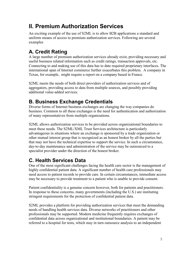## **II. Premium Authorization Services**

An exciting example of the use of S2ML is to allow B2B applications a standard and uniform means of access to premium authorization services. Following are several examples

# **A. Credit Rating**

A large number of premium authorization services already exist, providing necessary and useful business related information such as credit ratings, transaction approvals, etc. Connecting to and making use of this data has to date required proprietary interfaces. The international span of Internet commerce further exacerbates this problem. A company in Texas, for example, might require a report on a company based in France.

S2ML meets the needs of both direct providers of authorization services and of aggregators, providing access to data from multiple sources, and possibly providing additional value-added services.

### **B. Business Exchange Credentials**

Diverse forms of Internet business exchanges are changing the way companies do business. Common to all these exchanges is the need for authentication and authorization of many representatives from multiple organizations.

S2ML allows authorization services to be provided across organizational boundaries to meet these needs. The S2ML/XML Trust Services architecture is particularly advantageous in situations where an exchange is sponsored by a trade organization or other mutual interest group that is recognized as an honest broker by all the parties but that may not have the technical expertise to support the service. In such a circumstance, day-to-day maintenance and administration of the service may be outsourced to a specialist provider under the direction of the honest broker.

### **C. Health Services Data**

One of the most significant challenges facing the health care sector is the management of highly confidential patient data. A significant number of health care professionals may need access to patient records to provide care. In certain circumstances, immediate access may be necessary to provide treatment to a patient who is unable to provide consent.

Patient confidentiality is a genuine concern however, both for patients and practitioners. In response to these concerns, many governments (including the U.S.) are instituting stringent requirements for the protection of confidential patient data.

S2ML provides a platform for providing authorization services that meet the demanding needs of handling health services data. Diverse networks of practitioners and other professionals may be supported. Modern medicine frequently requires exchanges of confidential data across organizational and institutional boundaries. A patient may be referred to a hospital for tests, which may in turn outsource analysis to an independent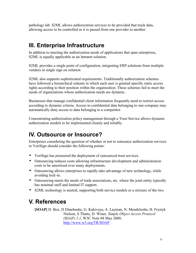pathology lab. S2ML allows authorization services to be provided that track data, allowing access to be controlled as it is passed from one provider to another.

### **III. Enterprise Infrastructure**

In addition to meeting the authorization needs of applications that span enterprises, S2ML is equally applicable as an Intranet solution.

S2ML provides a single point of configuration, integrating ERP solutions from multiple vendors in single sign on solution

S2ML also supports sophisticated requirements. Traditionally authorization schemes have followed a hierarchical scheme in which each user is granted specific static access rights according to their position within the organization. These schemes fail to meet the needs of organizations whose authorization needs are dynamic.

Businesses that manage confidential client information frequently need to restrict access according to dynamic criteria. Access to confidential data belonging to one company may automatically deny access to data belonging to a competitor.

Concentrating authorization policy management through a Trust Service allows dynamic authorization models to be implemented cleanly and reliably.

# **IV. Outsource or Insource?**

Enterprises considering the question of whether or not to outsource authorization services to VeriSign should consider the following points:

- VeriSign has pioneered the deployment of outsourced trust services.
- Outsourcing reduces costs allowing infrastructure development and administration costs to be amortized over many deployments.
- Outsourcing allows enterprises to rapidly take advantage of new technology, while avoiding lock-in.
- Outsourcing meets the needs of trade associations, etc. where the joint entity typically has minimal staff and limited IT support.
- S2ML technology is neutral, supporting both service models or a mixture of the two.

## **V. References**

**[SOAP]** D. Box, D Ehnebuske, G. Kakivaya, A. Layman, N. Mendelsohn, H. Frystyk Nielsen, S Thatte, D. Winer. *Simple Object Access Protocol (SOAP) 1.1*, W3C Note 08 May 2000, http://www.w3.org/TR/SOAP